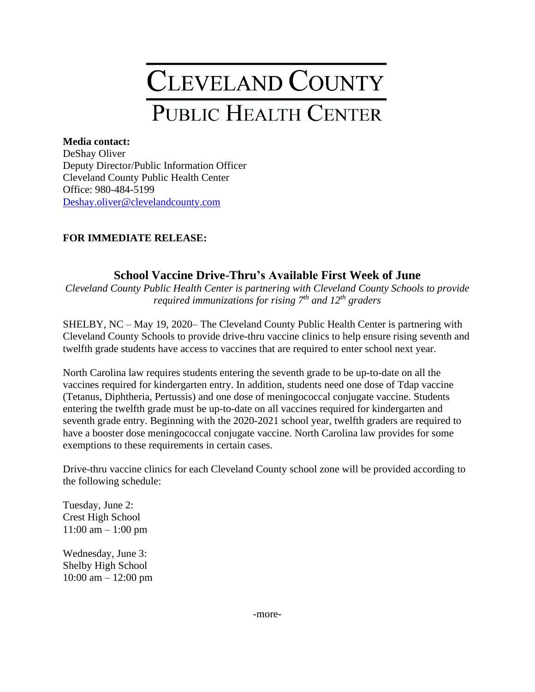## CLEVELAND COUNTY **PUBLIC HEALTH CENTER**

## **Media contact:**

DeShay Oliver Deputy Director/Public Information Officer Cleveland County Public Health Center Office: 980-484-5199 [Deshay.oliver@clevelandcounty.com](mailto:Deshay.oliver@clevelandcounty.com)

## **FOR IMMEDIATE RELEASE:**

## **School Vaccine Drive-Thru's Available First Week of June**

*Cleveland County Public Health Center is partnering with Cleveland County Schools to provide required immunizations for rising 7th and 12th graders*

SHELBY, NC – May 19, 2020– The Cleveland County Public Health Center is partnering with Cleveland County Schools to provide drive-thru vaccine clinics to help ensure rising seventh and twelfth grade students have access to vaccines that are required to enter school next year.

North Carolina law requires students entering the seventh grade to be up-to-date on all the vaccines required for kindergarten entry. In addition, students need one dose of Tdap vaccine (Tetanus, Diphtheria, Pertussis) and one dose of meningococcal conjugate vaccine. Students entering the twelfth grade must be up-to-date on all vaccines required for kindergarten and seventh grade entry. Beginning with the 2020-2021 school year, twelfth graders are required to have a booster dose meningococcal conjugate vaccine. North Carolina law provides for some exemptions to these requirements in certain cases.

Drive-thru vaccine clinics for each Cleveland County school zone will be provided according to the following schedule:

Tuesday, June 2: Crest High School 11:00 am – 1:00 pm

Wednesday, June 3: Shelby High School 10:00 am – 12:00 pm